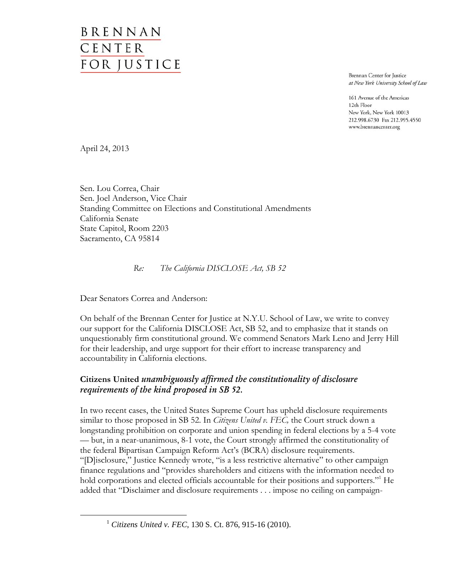# BRENNAN CENTER FOR JUSTICE

Brennan Center for Justice at New York University School of Law

161 Avenue of the Americas 12th Floor New York, New York 10013 212.998.6730 Fax 212.995.4550 www.brennancenter.org

April 24, 2013

Sen. Lou Correa, Chair Sen. Joel Anderson, Vice Chair Standing Committee on Elections and Constitutional Amendments California Senate State Capitol, Room 2203 Sacramento, CA 95814

 *Re: The California DISCLOSE Act, SB 52* 

Dear Senators Correa and Anderson:

On behalf of the Brennan Center for Justice at N.Y.U. School of Law, we write to convey our support for the California DISCLOSE Act, SB 52, and to emphasize that it stands on unquestionably firm constitutional ground. We commend Senators Mark Leno and Jerry Hill for their leadership, and urge support for their effort to increase transparency and accountability in California elections.

## **Citizens United** *unambiguously affirmed the constitutionality of disclosure requirements of the kind proposed in SB 52.*

In two recent cases, the United States Supreme Court has upheld disclosure requirements similar to those proposed in SB 52. In *Citizens United v. FEC,* the Court struck down a longstanding prohibition on corporate and union spending in federal elections by a 5-4 vote — but, in a near-unanimous, 8-1 vote, the Court strongly affirmed the constitutionality of the federal Bipartisan Campaign Reform Act's (BCRA) disclosure requirements. "[D]isclosure," Justice Kennedy wrote, "is a less restrictive alternative" to other campaign finance regulations and "provides shareholders and citizens with the information needed to hold corporations and elected officials accountable for their positions and supporters."<sup>1</sup> He added that "Disclaimer and disclosure requirements . . . impose no ceiling on campaign-

<sup>1</sup> *Citizens United v. FEC*, 130 S. Ct. 876, 915-16 (2010).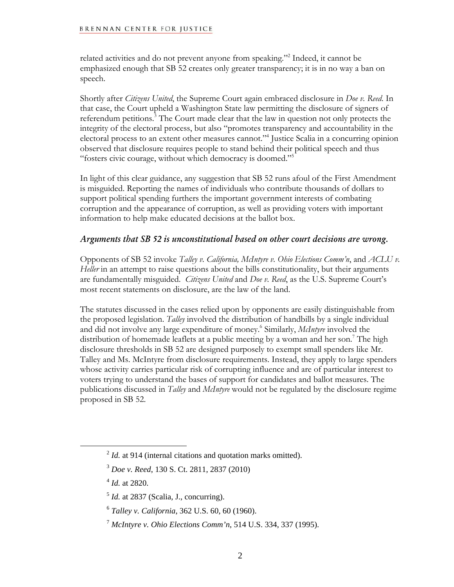### **BRENNAN CENTER FOR JUSTICE**

related activities and do not prevent anyone from speaking."<sup>2</sup> Indeed, it cannot be emphasized enough that SB 52 creates only greater transparency; it is in no way a ban on speech.

Shortly after *Citizens United*, the Supreme Court again embraced disclosure in *Doe v. Reed*. In that case, the Court upheld a Washington State law permitting the disclosure of signers of referendum petitions.<sup>3</sup> The Court made clear that the law in question not only protects the integrity of the electoral process, but also "promotes transparency and accountability in the electoral process to an extent other measures cannot."4 Justice Scalia in a concurring opinion observed that disclosure requires people to stand behind their political speech and thus "fosters civic courage, without which democracy is doomed."5

In light of this clear guidance, any suggestion that SB 52 runs afoul of the First Amendment is misguided. Reporting the names of individuals who contribute thousands of dollars to support political spending furthers the important government interests of combating corruption and the appearance of corruption, as well as providing voters with important information to help make educated decisions at the ballot box.

## *Arguments that SB 52 is unconstitutional based on other court decisions are wrong.*

Opponents of SB 52 invoke *Talley v. California, McIntyre v. Ohio Elections Comm'n*, and *ACLU v. Heller* in an attempt to raise questions about the bills constitutionality, but their arguments are fundamentally misguided. *Citizens United* and *Doe v. Reed*, as the U.S. Supreme Court's most recent statements on disclosure, are the law of the land.

The statutes discussed in the cases relied upon by opponents are easily distinguishable from the proposed legislation. *Talley* involved the distribution of handbills by a single individual and did not involve any large expenditure of money.6 Similarly, *McIntyre* involved the distribution of homemade leaflets at a public meeting by a woman and her son.<sup>7</sup> The high disclosure thresholds in SB 52 are designed purposely to exempt small spenders like Mr. Talley and Ms. McIntyre from disclosure requirements. Instead, they apply to large spenders whose activity carries particular risk of corrupting influence and are of particular interest to voters trying to understand the bases of support for candidates and ballot measures. The publications discussed in *Talley* and *McIntyre* would not be regulated by the disclosure regime proposed in SB 52.

<sup>4</sup> *Id.* at 2820.

<sup>&</sup>lt;sup>2</sup> *Id.* at 914 (internal citations and quotation marks omitted).

<sup>3</sup> *Doe v. Reed*, 130 S. Ct. 2811, 2837 (2010)

 $<sup>5</sup>$  *Id.* at 2837 (Scalia, J., concurring).</sup>

<sup>6</sup> *Talley v. California*, 362 U.S. 60, 60 (1960).

<sup>7</sup> *McIntyre v. Ohio Elections Comm'n*, 514 U.S. 334, 337 (1995).